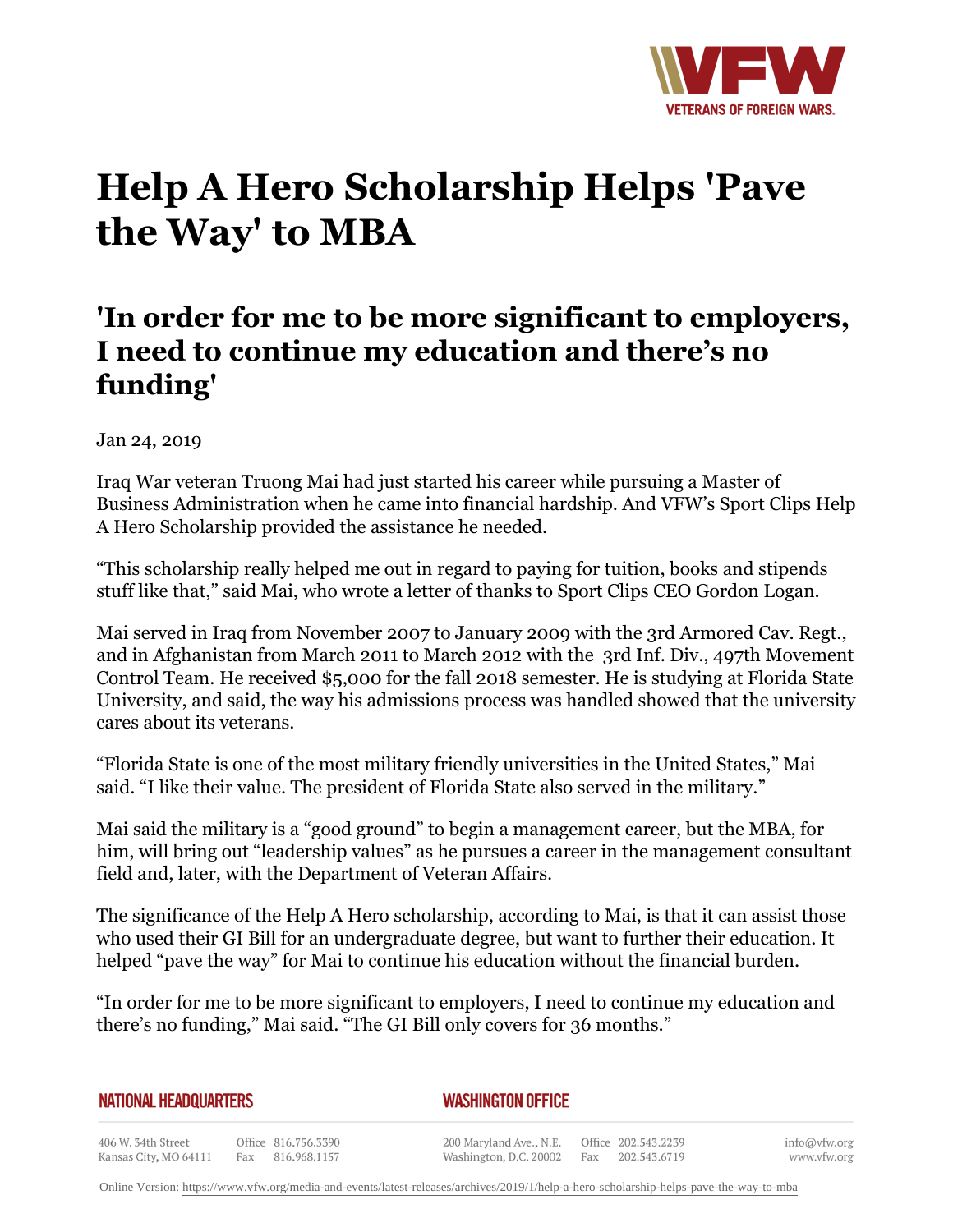

## **Help A Hero Scholarship Helps 'Pave the Way' to MBA**

## **'In order for me to be more significant to employers, I need to continue my education and there's no funding'**

Jan 24, 2019

Iraq War veteran Truong Mai had just started his career while pursuing a Master of Business Administration when he came into financial hardship. And VFW's Sport Clips Help A Hero Scholarship provided the assistance he needed.

"This scholarship really helped me out in regard to paying for tuition, books and stipends stuff like that," said Mai, who wrote a letter of thanks to Sport Clips CEO Gordon Logan.

Mai served in Iraq from November 2007 to January 2009 with the 3rd Armored Cav. Regt., and in Afghanistan from March 2011 to March 2012 with the 3rd Inf. Div., 497th Movement Control Team. He received \$5,000 for the fall 2018 semester. He is studying at Florida State University, and said, the way his admissions process was handled showed that the university cares about its veterans.

"Florida State is one of the most military friendly universities in the United States," Mai said. "I like their value. The president of Florida State also served in the military."

Mai said the military is a "good ground" to begin a management career, but the MBA, for him, will bring out "leadership values" as he pursues a career in the management consultant field and, later, with the Department of Veteran Affairs.

The significance of the Help A Hero scholarship, according to Mai, is that it can assist those who used their GI Bill for an undergraduate degree, but want to further their education. It helped "pave the way" for Mai to continue his education without the financial burden.

"In order for me to be more significant to employers, I need to continue my education and there's no funding," Mai said. "The GI Bill only covers for 36 months."

*WASHINGTON OFFICE* 

406 W. 34th Street Office 816.756.3390 Kansas City, MO 64111 Fax 816.968.1157

200 Maryland Ave., N.E. Washington, D.C. 20002

Office 202.543.2239 Fax 202.543.6719

info@vfw.org www.vfw.org